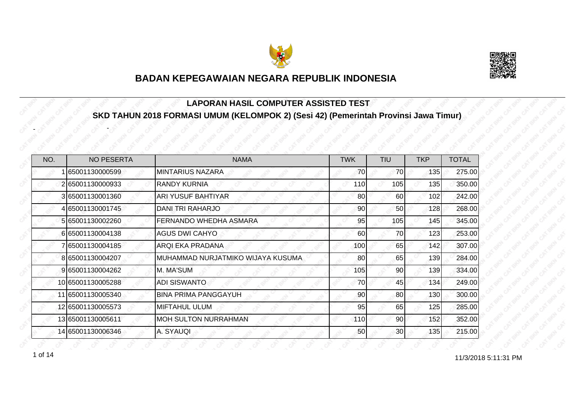



#### **LAPORAN HASIL COMPUTER ASSISTED TEST SKD TAHUN 2018 FORMASI UMUM (KELOMPOK 2) (Sesi 42) (Pemerintah Provinsi Jawa Timur)**

| NO. | <b>NO PESERTA</b> | <b>NAMA</b>                       | <b>TWK</b> | TIU             | <b>TKP</b> | <b>TOTAL</b> |
|-----|-------------------|-----------------------------------|------------|-----------------|------------|--------------|
|     | 65001130000599    | <b>MINTARIUS NAZARA</b>           | 70         | 70              | 135        | 275.00       |
|     | 265001130000933   | <b>RANDY KURNIA</b>               | 110        | 105             | 135        | 350.00       |
|     | 365001130001360   | ARI YUSUF BAHTIYAR                | 80         | 60              | 102        | 242.00       |
|     | 4 65001130001745  | DANI TRI RAHARJO                  | 90         | 50              | 128        | 268.00       |
|     | 5 65001130002260  | FERNANDO WHEDHA ASMARA            | 95         | 105             | 145        | 345.00       |
|     | 665001130004138   | <b>AGUS DWI CAHYO</b>             | 60         | 70              | 123        | 253.00       |
|     | 765001130004185   | ARQI EKA PRADANA                  | 100        | 65              | 142        | 307.00       |
|     | 8 65001130004207  | MUHAMMAD NURJATMIKO WIJAYA KUSUMA | 80         | 65              | 139        | 284.00       |
|     | 9 65001130004262  | M. MA'SUM                         | 105        | 90              | 139        | 334.00       |
|     | 10 65001130005288 | <b>ADI SISWANTO</b>               | 70         | 45              | 134        | 249.00       |
|     | 11 65001130005340 | <b>BINA PRIMA PANGGAYUH</b>       | 90         | 80              | 130        | 300.00       |
|     | 12 65001130005573 | <b>MIFTAHUL ULUM</b>              | 95         | 65              | 125        | 285.00       |
|     | 13 65001130005611 | <b>MOH SULTON NURRAHMAN</b>       | 110        | 90              | 152        | 352.00       |
|     | 14 65001130006346 | A. SYAUQI                         | 50         | 30 <sup>1</sup> | 135        | 215.00       |

1 of 14 **11/3/2018 5:11:31 PM** 

-

-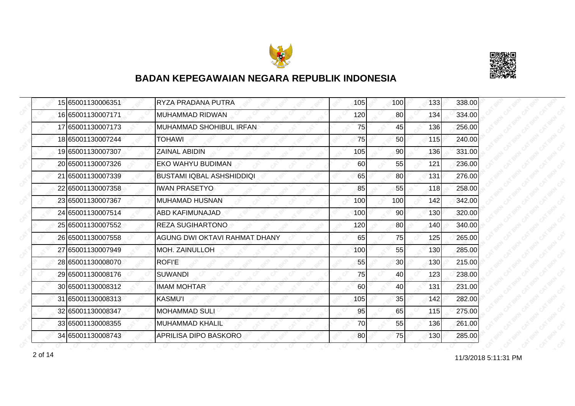



| 15 65001130006351 | RYZA PRADANA PUTRA               | 105 | 100             | 133 | 338.00 |
|-------------------|----------------------------------|-----|-----------------|-----|--------|
| 16 65001130007171 | <b>MUHAMMAD RIDWAN</b>           | 120 | 80              | 134 | 334.00 |
| 17 65001130007173 | MUHAMMAD SHOHIBUL IRFAN          | 75  | 45              | 136 | 256.00 |
| 18 65001130007244 | <b>TOHAWI</b>                    | 75  | 50              | 115 | 240.00 |
| 19 65001130007307 | <b>ZAINAL ABIDIN</b>             | 105 | 90              | 136 | 331.00 |
| 20 65001130007326 | EKO WAHYU BUDIMAN                | 60  | 55              | 121 | 236.00 |
| 21 65001130007339 | <b>BUSTAMI IQBAL ASHSHIDDIQI</b> | 65  | 80 <sub>0</sub> | 131 | 276.00 |
| 22 65001130007358 | <b>IWAN PRASETYO</b>             | 85  | 55              | 118 | 258.00 |
| 23 65001130007367 | <b>MUHAMAD HUSNAN</b>            | 100 | 100             | 142 | 342.00 |
| 24 65001130007514 | <b>ABD KAFIMUNAJAD</b>           | 100 | 90 <sup>1</sup> | 130 | 320.00 |
| 25 65001130007552 | <b>REZA SUGIHARTONO</b>          | 120 | 80              | 140 | 340.00 |
| 26 65001130007558 | AGUNG DWI OKTAVI RAHMAT DHANY    | 65  | 75              | 125 | 265.00 |
| 27 65001130007949 | <b>MOH. ZAINULLOH</b>            | 100 | 55              | 130 | 285.00 |
| 28 65001130008070 | <b>ROFI'E</b>                    | 55  | 30              | 130 | 215.00 |
| 29 65001130008176 | <b>SUWANDI</b>                   | 75  | 40              | 123 | 238.00 |
| 30 65001130008312 | <b>IMAM MOHTAR</b>               | 60  | 40              | 131 | 231.00 |
| 31 65001130008313 | <b>KASMU'I</b>                   | 105 | 35              | 142 | 282.00 |
| 32 65001130008347 | <b>MOHAMMAD SULI</b>             | 95  | 65              | 115 | 275.00 |
| 33 65001130008355 | <b>MUHAMMAD KHALIL</b>           | 70  | 55              | 136 | 261.00 |
| 34 65001130008743 | APRILISA DIPO BASKORO            | 80  | 75              | 130 | 285.00 |

11/3/2018 5:11:31 PM 2 of 14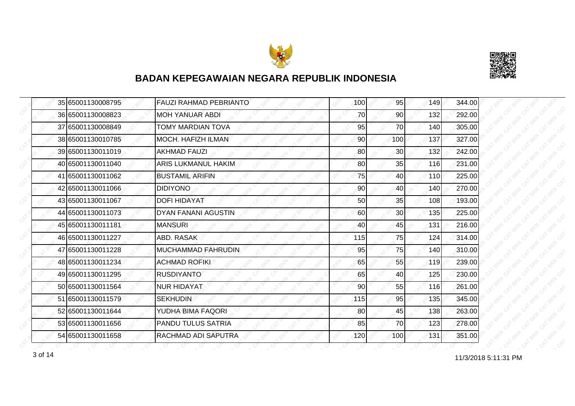



|  | 35 65001130008795 | <b>FAUZI RAHMAD PEBRIANTO</b> | 100 | 95              | 149 | 344.00 |
|--|-------------------|-------------------------------|-----|-----------------|-----|--------|
|  | 36 65001130008823 | MOH YANUAR ABDI               | 70  | 90              | 132 | 292.00 |
|  | 37 65001130008849 | <b>TOMY MARDIAN TOVA</b>      | 95  | 70              | 140 | 305.00 |
|  | 38 65001130010785 | MOCH. HAFIZH ILMAN            | 90  | 100             | 137 | 327.00 |
|  | 39 65001130011019 | <b>AKHMAD FAUZI</b>           | 80  | 30              | 132 | 242.00 |
|  | 40 65001130011040 | <b>ARIS LUKMANUL HAKIM</b>    | 80  | 35              | 116 | 231.00 |
|  | 41 65001130011062 | <b>BUSTAMIL ARIFIN</b>        | 75  | 40              | 110 | 225.00 |
|  | 42 65001130011066 | <b>DIDIYONO</b>               | 90  | 40              | 140 | 270.00 |
|  | 43 65001130011067 | <b>DOFI HIDAYAT</b>           | 50  | 35              | 108 | 193.00 |
|  | 44 65001130011073 | DYAN FANANI AGUSTIN           | 60  | 30 <sup>1</sup> | 135 | 225.00 |
|  | 45 65001130011181 | <b>MANSURI</b>                | 40  | 45              | 131 | 216.00 |
|  | 46 65001130011227 | ABD, RASAK                    | 115 | 75              | 124 | 314.00 |
|  | 47 65001130011228 | <b>IMUCHAMMAD FAHRUDIN</b>    | 95  | 75              | 140 | 310.00 |
|  | 48 65001130011234 | <b>ACHMAD ROFIKI</b>          | 65  | 55              | 119 | 239.00 |
|  | 49 65001130011295 | <b>RUSDIYANTO</b>             | 65  | 40              | 125 | 230.00 |
|  | 50 65001130011564 | <b>NUR HIDAYAT</b>            | 90  | 55              | 116 | 261.00 |
|  | 51 65001130011579 | <b>SEKHUDIN</b>               | 115 | 95              | 135 | 345.00 |
|  | 52 65001130011644 | YUDHA BIMA FAQORI             | 80  | 45              | 138 | 263.00 |
|  | 53 65001130011656 | <b>PANDU TULUS SATRIA</b>     | 85  | 70              | 123 | 278.00 |
|  | 54 65001130011658 | RACHMAD ADI SAPUTRA           | 120 | 100             | 131 | 351.00 |

11/3/2018 5:11:31 PM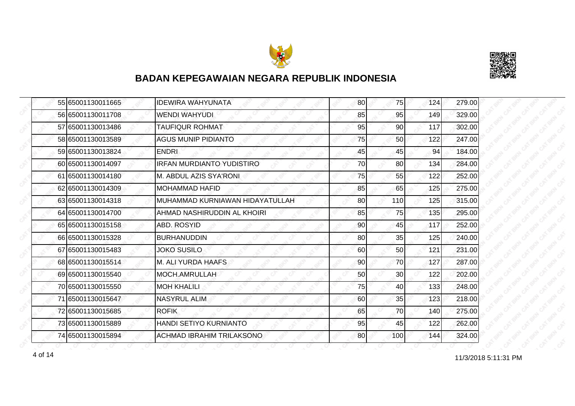



|  | 55 65001130011665 | <b>IDEWIRA WAHYUNATA</b>         | 80 | 75  | 124 | 279.00 |
|--|-------------------|----------------------------------|----|-----|-----|--------|
|  | 56 65001130011708 | <b>WENDI WAHYUDI</b>             | 85 | 95  | 149 | 329.00 |
|  | 57 65001130013486 | <b>TAUFIQUR ROHMAT</b>           | 95 | 90  | 117 | 302.00 |
|  | 58 65001130013589 | <b>AGUS MUNIP PIDIANTO</b>       | 75 | 50  | 122 | 247.00 |
|  | 59 65001130013824 | <b>ENDRI</b>                     | 45 | 45  | 94  | 184.00 |
|  | 60 65001130014097 | <b>IRFAN MURDIANTO YUDISTIRO</b> | 70 | 80  | 134 | 284.00 |
|  | 61 65001130014180 | M. ABDUL AZIS SYA'RONI           | 75 | 55  | 122 | 252.00 |
|  | 62 65001130014309 | <b>MOHAMMAD HAFID</b>            | 85 | 65  | 125 | 275.00 |
|  | 63 65001130014318 | MUHAMMAD KURNIAWAN HIDAYATULLAH  | 80 | 110 | 125 | 315.00 |
|  | 64 65001130014700 | AHMAD NASHIRUDDIN AL KHOIRI      | 85 | 75  | 135 | 295.00 |
|  | 65 65001130015158 | ABD. ROSYID                      | 90 | 45  | 117 | 252.00 |
|  | 66 65001130015328 | <b>BURHANUDDIN</b>               | 80 | 35  | 125 | 240.00 |
|  | 67 65001130015483 | <b>JOKO SUSILO</b>               | 60 | 50  | 121 | 231.00 |
|  | 68 65001130015514 | M. ALI YURDA HAAFS               | 90 | 70  | 127 | 287.00 |
|  | 69 65001130015540 | MOCH.AMRULLAH                    | 50 | 30  | 122 | 202.00 |
|  | 70 65001130015550 | <b>MOH KHALILI</b>               | 75 | 40  | 133 | 248.00 |
|  | 71 65001130015647 | <b>NASYRUL ALIM</b>              | 60 | 35  | 123 | 218.00 |
|  | 72 65001130015685 | <b>ROFIK</b>                     | 65 | 70  | 140 | 275.00 |
|  | 73 65001130015889 | HANDI SETIYO KURNIANTO           | 95 | 45  | 122 | 262.00 |
|  | 74 65001130015894 | ACHMAD IBRAHIM TRILAKSONO        | 80 | 100 | 144 | 324.00 |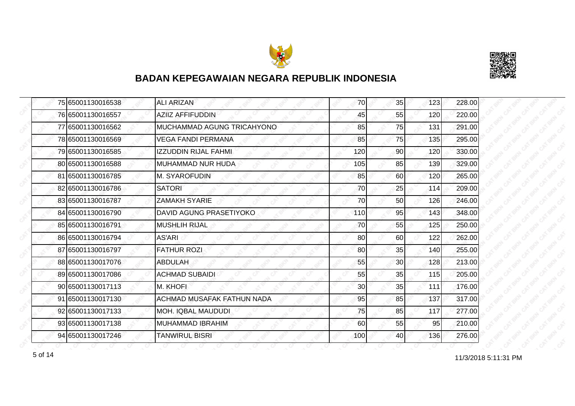



|  | 75 65001130016538 | <b>ALI ARIZAN</b>              | 70  | 35              | 123 | 228.00 |
|--|-------------------|--------------------------------|-----|-----------------|-----|--------|
|  | 76 65001130016557 | <b>AZIIZ AFFIFUDDIN</b>        | 45  | 55              | 120 | 220.00 |
|  | 77 65001130016562 | MUCHAMMAD AGUNG TRICAHYONO     | 85  | 75              | 131 | 291.00 |
|  | 78 65001130016569 | <b>VEGA FANDI PERMANA</b>      | 85  | 75              | 135 | 295.00 |
|  | 79 65001130016585 | <b>IZZUDDIN RIJAL FAHMI</b>    | 120 | 90              | 120 | 330.00 |
|  | 80 65001130016588 | IMUHAMMAD NUR HUDA.            | 105 | 85              | 139 | 329.00 |
|  | 81 65001130016785 | M. SYAROFUDIN                  | 85  | 60              | 120 | 265.00 |
|  | 82 65001130016786 | <b>SATORI</b>                  | 70  | 25              | 114 | 209.00 |
|  | 83 65001130016787 | <b>ZAMAKH SYARIE</b>           | 70  | 50              | 126 | 246.00 |
|  | 84 65001130016790 | <b>DAVID AGUNG PRASETIYOKO</b> | 110 | 95              | 143 | 348.00 |
|  | 85 65001130016791 | <b>MUSHLIH RIJAL</b>           | 70  | 55              | 125 | 250.00 |
|  | 86 65001130016794 | <b>AS'ARI</b>                  | 80  | 60              | 122 | 262.00 |
|  | 87 65001130016797 | <b>FATHUR ROZI</b>             | 80  | 35              | 140 | 255.00 |
|  | 88 65001130017076 | <b>ABDULAH</b>                 | 55  | 30 <sup>1</sup> | 128 | 213.00 |
|  | 89 65001130017086 | <b>ACHMAD SUBAIDI</b>          | 55  | 35              | 115 | 205.00 |
|  | 90 65001130017113 | M. KHOFI                       | 30  | 35              | 111 | 176.00 |
|  | 91 65001130017130 | ACHMAD MUSAFAK FATHUN NADA     | 95  | 85              | 137 | 317.00 |
|  | 92 65001130017133 | <b>MOH. IQBAL MAUDUDI</b>      | 75  | 85              | 117 | 277.00 |
|  | 93 65001130017138 | <b>MUHAMMAD IBRAHIM</b>        | 60  | 55              | 95  | 210.00 |
|  | 94 65001130017246 | <b>TANWIRUL BISRI</b>          | 100 | 40              | 136 | 276.00 |

f of 14 and 11/3/2018 5:11:31 PM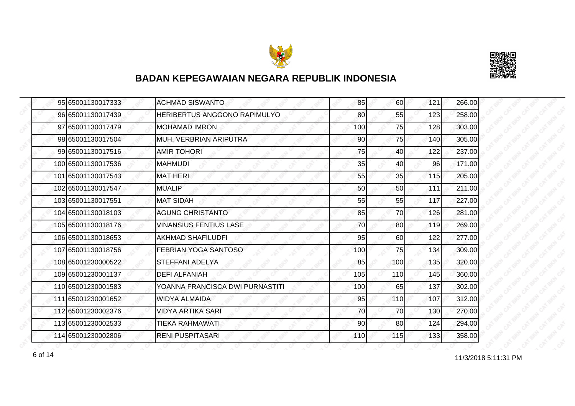



| 95 65001130017333  | <b>ACHMAD SISWANTO</b>          | 85  | 60  | 121 | 266.00 |
|--------------------|---------------------------------|-----|-----|-----|--------|
| 96 65001130017439  | HERIBERTUS ANGGONO RAPIMULYO    | 80  | 55  | 123 | 258.00 |
| 97 65001130017479  | <b>MOHAMAD IMRON</b>            | 100 | 75  | 128 | 303.00 |
| 98 65001130017504  | MUH. VERBRIAN ARIPUTRA          | 90  | 75  | 140 | 305.00 |
| 99 65001130017516  | <b>AMIR TOHORI</b>              | 75  | 40  | 122 | 237.00 |
| 100 65001130017536 | <b>MAHMUDI</b>                  | 35  | 40  | 96  | 171.00 |
| 101 65001130017543 | <b>MAT HERI</b>                 | 55  | 35  | 115 | 205.00 |
| 102 65001130017547 | <b>MUALIP</b>                   | 50  | 50  | 111 | 211.00 |
| 103 65001130017551 | <b>MAT SIDAH</b>                | 55  | 55  | 117 | 227.00 |
| 104 65001130018103 | <b>AGUNG CHRISTANTO</b>         | 85  | 70  | 126 | 281.00 |
| 105 65001130018176 | <b>VINANSIUS FENTIUS LASE</b>   | 70  | 80  | 119 | 269.00 |
| 106 65001130018653 | <b>AKHMAD SHAFILUDFI</b>        | 95  | 60  | 122 | 277.00 |
| 107 65001130018756 | <b>FEBRIAN YOGA SANTOSO</b>     | 100 | 75  | 134 | 309.00 |
| 108 65001230000522 | STEFFANI ADELYA                 | 85  | 100 | 135 | 320.00 |
| 109 65001230001137 | <b>DEFI ALFANIAH</b>            | 105 | 110 | 145 | 360.00 |
| 110 65001230001583 | YOANNA FRANCISCA DWI PURNASTITI | 100 | 65  | 137 | 302.00 |
| 111 65001230001652 | WIDYA ALMAIDA                   | 95  | 110 | 107 | 312.00 |
| 112 65001230002376 | <b>VIDYA ARTIKA SARI</b>        | 70  | 70  | 130 | 270.00 |
| 113 65001230002533 | <b>TIEKA RAHMAWATI</b>          | 90  | 80  | 124 | 294.00 |
| 114 65001230002806 | <b>RENI PUSPITASARI</b>         | 110 | 115 | 133 | 358.00 |

11/3/2018 5:11:31 PM 6 of 14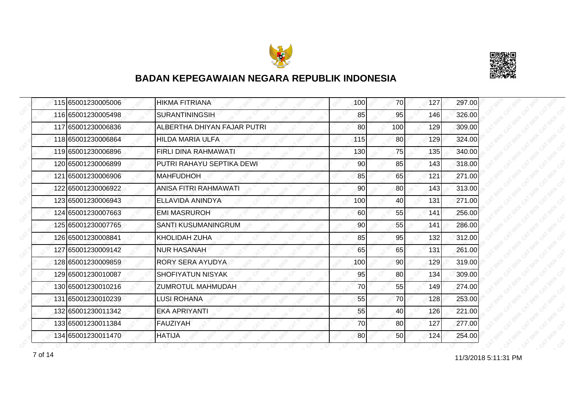



| 115 65001230005006 | <b>HIKMA FITRIANA</b>        | 100 | 70              | 127 | 297.00 |
|--------------------|------------------------------|-----|-----------------|-----|--------|
| 116 65001230005498 | <b>SURANTININGSIH</b>        | 85  | 95              | 146 | 326.00 |
| 117 65001230006836 | ALBERTHA DHIYAN FAJAR PUTRI  | 80  | 100             | 129 | 309.00 |
| 118 65001230006864 | <b>HILDA MARIA ULFA</b>      | 115 | 80 <sup>1</sup> | 129 | 324.00 |
| 119 65001230006896 | <b>FIRLI DINA RAHMAWATI</b>  | 130 | 75              | 135 | 340.00 |
| 120 65001230006899 | PUTRI RAHAYU SEPTIKA DEWI    | 90  | 85              | 143 | 318.00 |
| 121 65001230006906 | <b>MAHFUDHOH</b>             | 85  | 65              | 121 | 271.00 |
| 122 65001230006922 | <b>ANISA FITRI RAHMAWATI</b> | 90  | 80              | 143 | 313.00 |
| 123 65001230006943 | ELLAVIDA ANINDYA             | 100 | 40              | 131 | 271.00 |
| 124 65001230007663 | <b>EMI MASRUROH</b>          | 60  | 55              | 141 | 256.00 |
| 125 65001230007765 | SANTI KUSUMANINGRUM          | 90  | 55              | 141 | 286.00 |
| 126 65001230008841 | KHOLIDAH ZUHA                | 85  | 95              | 132 | 312.00 |
| 127 65001230009142 | <b>NUR HASANAH</b>           | 65  | 65              | 131 | 261.00 |
| 128 65001230009859 | <b>RORY SERA AYUDYA</b>      | 100 | 90 <sub>1</sub> | 129 | 319.00 |
| 129 65001230010087 | <b>SHOFIYATUN NISYAK</b>     | 95  | 80              | 134 | 309.00 |
| 130 65001230010216 | <b>ZUMROTUL MAHMUDAH</b>     | 70  | 55              | 149 | 274.00 |
| 131 65001230010239 | <b>LUSI ROHANA</b>           | 55  | 70              | 128 | 253.00 |
| 132 65001230011342 | EKA APRIYANTI                | 55  | 40              | 126 | 221.00 |
| 133 65001230011384 | <b>FAUZIYAH</b>              | 70  | 80              | 127 | 277.00 |
| 134 65001230011470 | <b>HATIJA</b>                | 80  | <b>50</b>       | 124 | 254.00 |

11/3/2018 5:11:31 PM 7 of 14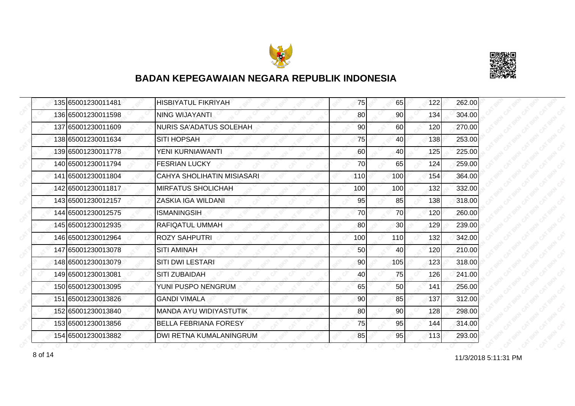



|  | 135 65001230011481 | <b>HISBIYATUL FIKRIYAH</b>     | 75  | 65  | 122 | 262.00 |
|--|--------------------|--------------------------------|-----|-----|-----|--------|
|  | 136 65001230011598 | NING WIJAYANTI                 | 80  | 90  | 134 | 304.00 |
|  | 137 65001230011609 | <b>NURIS SA'ADATUS SOLEHAH</b> | 90  | 60  | 120 | 270.00 |
|  | 138 65001230011634 | <b>SITI HOPSAH</b>             | 75  | 40  | 138 | 253.00 |
|  | 139 65001230011778 | YENI KURNIAWANTI               | 60  | 40  | 125 | 225.00 |
|  | 140 65001230011794 | <b>FESRIAN LUCKY</b>           | 70  | 65  | 124 | 259.00 |
|  | 141 65001230011804 | CAHYA SHOLIHATIN MISIASARI     | 110 | 100 | 154 | 364.00 |
|  | 142 65001230011817 | <b>MIRFATUS SHOLICHAH</b>      | 100 | 100 | 132 | 332.00 |
|  | 143 65001230012157 | ZASKIA IGA WILDANI             | 95  | 85  | 138 | 318.00 |
|  | 144 65001230012575 | <b>ISMANINGSIH</b>             | 70  | 70  | 120 | 260.00 |
|  | 145 65001230012935 | RAFIQATUL UMMAH                | 80  | 30  | 129 | 239.00 |
|  | 146 65001230012964 | <b>ROZY SAHPUTRI</b>           | 100 | 110 | 132 | 342.00 |
|  | 147 65001230013078 | <b>SITI AMINAH</b>             | 50  | 40  | 120 | 210.00 |
|  | 148 65001230013079 | <b>SITI DWI LESTARI</b>        | 90  | 105 | 123 | 318.00 |
|  | 149 65001230013081 | <b>SITI ZUBAIDAH</b>           | 40  | 75  | 126 | 241.00 |
|  | 150 65001230013095 | YUNI PUSPO NENGRUM             | 65  | 50  | 141 | 256.00 |
|  | 151 65001230013826 | <b>GANDI VIMALA</b>            | 90  | 85  | 137 | 312.00 |
|  | 152 65001230013840 | <b>MANDA AYU WIDIYASTUTIK</b>  | 80  | 90  | 128 | 298.00 |
|  | 153 65001230013856 | <b>BELLA FEBRIANA FORESY</b>   | 75  | 95  | 144 | 314.00 |
|  | 154 65001230013882 | DWI RETNA KUMALANINGRUM        | 85  | 95  | 113 | 293.00 |

11/3/2018 5:11:31 PM 8 of 14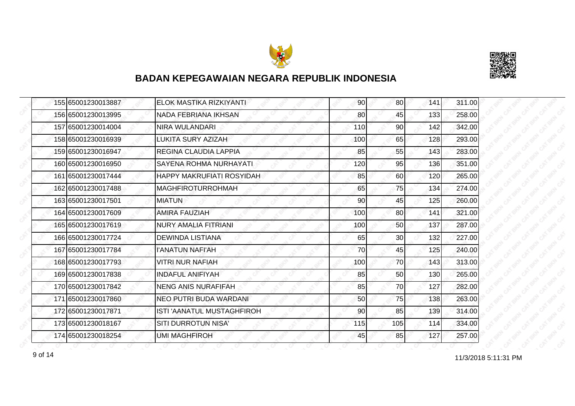



| 155 65001230013887 | ELOK MASTIKA RIZKIYANTI          | 90  | 80 <sup>1</sup> | 141 | 311.00 |
|--------------------|----------------------------------|-----|-----------------|-----|--------|
| 156 65001230013995 | NADA FEBRIANA IKHSAN             | 80  | 45              | 133 | 258.00 |
| 157 65001230014004 | NIRA WULANDARI                   | 110 | 90              | 142 | 342.00 |
| 158 65001230016939 | <b>LUKITA SURY AZIZAH</b>        | 100 | 65              | 128 | 293.00 |
| 159 65001230016947 | <b>REGINA CLAUDIA LAPPIA</b>     | 85  | 55              | 143 | 283.00 |
| 160 65001230016950 | SAYENA ROHMA NURHAYATI           | 120 | 95              | 136 | 351.00 |
| 161 65001230017444 | <b>HAPPY MAKRUFIATI ROSYIDAH</b> | 85  | <b>60</b>       | 120 | 265.00 |
| 162 65001230017488 | <b>MAGHFIROTURROHMAH</b>         | 65  | 75              | 134 | 274.00 |
| 163 65001230017501 | <b>IMIATUN</b>                   | 90  | 45              | 125 | 260.00 |
| 164 65001230017609 | <b>AMIRA FAUZIAH</b>             | 100 | 80 <sup>1</sup> | 141 | 321.00 |
| 165 65001230017619 | <b>NURY AMALIA FITRIANI</b>      | 100 | 50              | 137 | 287.00 |
| 166 65001230017724 | <b>DEWINDA LISTIANA</b>          | 65  | 30              | 132 | 227.00 |
| 167 65001230017784 | <b><i>I'ANATUN NAFI'AH</i></b>   | 70  | 45              | 125 | 240.00 |
| 168 65001230017793 | <b>VITRI NUR NAFIAH</b>          | 100 | 70              | 143 | 313.00 |
| 169 65001230017838 | <b>INDAFUL ANIFIYAH</b>          | 85  | 50              | 130 | 265.00 |
| 170 65001230017842 | <b>NENG ANIS NURAFIFAH</b>       | 85  | 70              | 127 | 282.00 |
| 171 65001230017860 | NEO PUTRI BUDA WARDANI           | 50  | 75              | 138 | 263.00 |
| 172 65001230017871 | ISTI 'AANATUL MUSTAGHFIROH       | 90  | 85              | 139 | 314.00 |
| 173 65001230018167 | <b>SITI DURROTUN NISA'</b>       | 115 | 105             | 114 | 334.00 |
| 174 65001230018254 | <b>UMI MAGHFIROH</b>             | 45  | 85              | 127 | 257.00 |

11/3/2018 5:11:31 PM 9 of 14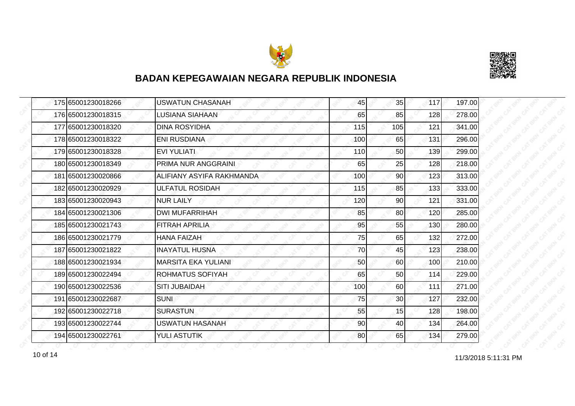



|  | 175 65001230018266 | <b>USWATUN CHASANAH</b>    | 45  | 35  | 117 | 197.00 |
|--|--------------------|----------------------------|-----|-----|-----|--------|
|  | 176 65001230018315 | <b>LUSIANA SIAHAAN</b>     | 65  | 85  | 128 | 278.00 |
|  | 177 65001230018320 | <b>DINA ROSYIDHA</b>       | 115 | 105 | 121 | 341.00 |
|  | 178 65001230018322 | <b>ENI RUSDIANA</b>        | 100 | 65  | 131 | 296.00 |
|  | 179 65001230018328 | <b>EVI YULIATI</b>         | 110 | 50  | 139 | 299.00 |
|  | 180 65001230018349 | PRIMA NUR ANGGRAINI        | 65  | 25  | 128 | 218.00 |
|  | 181 65001230020866 | ALIFIANY ASYIFA RAKHMANDA  | 100 | 90  | 123 | 313.00 |
|  | 182 65001230020929 | <b>ULFATUL ROSIDAH</b>     | 115 | 85  | 133 | 333.00 |
|  | 183 65001230020943 | <b>NUR LAILY</b>           | 120 | 90  | 121 | 331.00 |
|  | 184 65001230021306 | <b>DWI MUFARRIHAH</b>      | 85  | 80  | 120 | 285.00 |
|  | 185 65001230021743 | <b>FITRAH APRILIA</b>      | 95  | 55  | 130 | 280.00 |
|  | 186 65001230021779 | <b>HANA FAIZAH</b>         | 75  | 65  | 132 | 272.00 |
|  | 187 65001230021822 | <b>INAYATUL HUSNA</b>      | 70  | 45  | 123 | 238.00 |
|  | 188 65001230021934 | <b>MARSITA EKA YULIANI</b> | 50  | 60  | 100 | 210.00 |
|  | 189 65001230022494 | ROHMATUS SOFIYAH           | 65  | 50  | 114 | 229.00 |
|  | 190 65001230022536 | <b>SITI JUBAIDAH</b>       | 100 | 60  | 111 | 271.00 |
|  | 191 65001230022687 | <b>SUNI</b>                | 75  | 30  | 127 | 232.00 |
|  | 192 65001230022718 | <b>SURASTUN</b>            | 55  | 15  | 128 | 198.00 |
|  | 193 65001230022744 | <b>USWATUN HASANAH</b>     | 90  | 40  | 134 | 264.00 |
|  | 194 65001230022761 | <b>YULI ASTUTIK</b>        | 80  | 65  | 134 | 279.00 |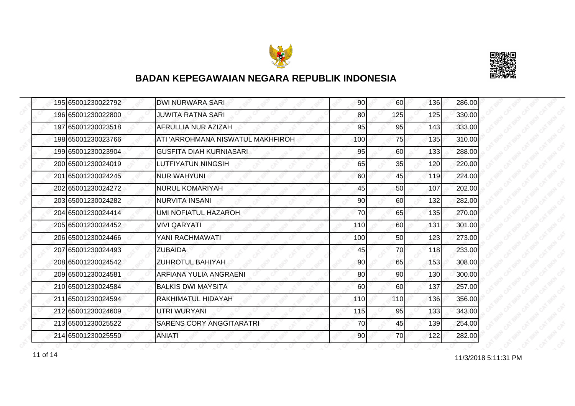



| 195 65001230022792 | <b>DWI NURWARA SARI</b>           | 90  | 60  | 136 | 286.00 |
|--------------------|-----------------------------------|-----|-----|-----|--------|
| 196 65001230022800 | JUWITA RATNA SARI                 | 80  | 125 | 125 | 330.00 |
| 197 65001230023518 | AFRULLIA NUR AZIZAH               | 95  | 95  | 143 | 333.00 |
| 198 65001230023766 | ATI 'ARROHMANA NISWATUL MAKHFIROH | 100 | 75  | 135 | 310.00 |
| 199 65001230023904 | <b>GUSFITA DIAH KURNIASARI</b>    | 95  | 60  | 133 | 288.00 |
| 200 65001230024019 | <b>LUTFIYATUN NINGSIH</b>         | 65  | 35  | 120 | 220.00 |
| 201 65001230024245 | <b>NUR WAHYUNI</b>                | 60  | 45  | 119 | 224.00 |
| 202 65001230024272 | <b>NURUL KOMARIYAH</b>            | 45  | 50  | 107 | 202.00 |
| 203 65001230024282 | <b>NURVITA INSANI</b>             | 90  | 60  | 132 | 282.00 |
| 204 65001230024414 | <b>UMI NOFIATUL HAZAROH</b>       | 70  | 65  | 135 | 270.00 |
| 205 65001230024452 | <b>VIVI QARYATI</b>               | 110 | 60  | 131 | 301.00 |
| 206 65001230024466 | YANI RACHMAWATI                   | 100 | 50  | 123 | 273.00 |
| 207 65001230024493 | <b>ZUBAIDA</b>                    | 45  | 70  | 118 | 233.00 |
| 208 65001230024542 | <b>ZUHROTUL BAHIYAH</b>           | 90  | 65  | 153 | 308.00 |
| 209 65001230024581 | ARFIANA YULIA ANGRAENI            | 80  | 90  | 130 | 300.00 |
| 210 65001230024584 | <b>BALKIS DWI MAYSITA</b>         | 60  | 60  | 137 | 257.00 |
| 211 65001230024594 | RAKHIMATUL HIDAYAH                | 110 | 110 | 136 | 356.00 |
| 212 65001230024609 | UTRI WURYANI                      | 115 | 95  | 133 | 343.00 |
| 213 65001230025522 | <b>SARENS CORY ANGGITARATRI</b>   | 70  | 45  | 139 | 254.00 |
| 214 65001230025550 | <b>ANIATI</b>                     | 90  | 70  | 122 | 282.00 |

11 of 14 2018 5:11:31 PM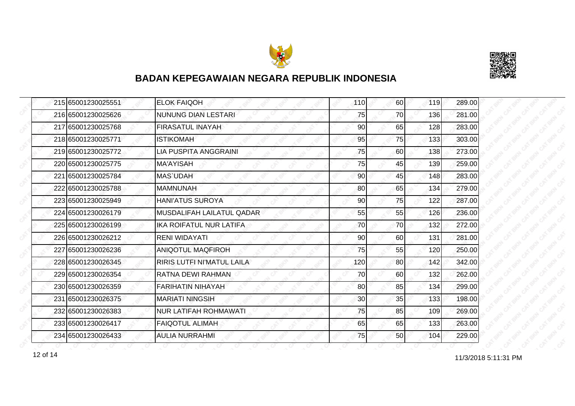



| 215 65001230025551 | <b>ELOK FAIQOH</b>               | 110 | 60              | 119 | 289.00 |
|--------------------|----------------------------------|-----|-----------------|-----|--------|
| 216 65001230025626 | <b>NUNUNG DIAN LESTARI</b>       | 75  | 70              | 136 | 281.00 |
| 217 65001230025768 | <b>FIRASATUL INAYAH</b>          | 90  | 65              | 128 | 283.00 |
| 218 65001230025771 | <b>ISTIKOMAH</b>                 | 95  | 75              | 133 | 303.00 |
| 219 65001230025772 | <b>LIA PUSPITA ANGGRAINI</b>     | 75  | 60              | 138 | 273.00 |
| 220 65001230025775 | <b>MA'AYISAH</b>                 | 75  | 45              | 139 | 259.00 |
| 221 65001230025784 | <b>MAS'UDAH</b>                  | 90  | 45              | 148 | 283.00 |
| 222 65001230025788 | <b>MAMNUNAH</b>                  | 80  | 65              | 134 | 279.00 |
| 223165001230025949 | <b>HANI'ATUS SUROYA</b>          | 90  | 75              | 122 | 287.00 |
| 224 65001230026179 | <b>MUSDALIFAH LAILATUL QADAR</b> | 55  | 55              | 126 | 236.00 |
| 225 65001230026199 | <b>IKA ROIFATUL NUR LATIFA</b>   | 70  | 70              | 132 | 272.00 |
| 226165001230026212 | <b>RENI WIDAYATI</b>             | 90  | 60              | 131 | 281.00 |
| 227 65001230026236 | <b>ANIQOTUL MAQFIROH</b>         | 75  | 55              | 120 | 250.00 |
| 228 65001230026345 | RIRIS LUTFI NI'MATUL LAILA       | 120 | 80 <sup>2</sup> | 142 | 342.00 |
| 229 65001230026354 | RATNA DEWI RAHMAN                | 70  | 60              | 132 | 262.00 |
| 230 65001230026359 | <b>FARIHATIN NIHAYAH</b>         | 80  | 85              | 134 | 299.00 |
| 231 65001230026375 | <b>MARIATI NINGSIH</b>           | 30  | 35              | 133 | 198.00 |
| 232165001230026383 | <b>NUR LATIFAH ROHMAWATI</b>     | 75  | 85              | 109 | 269.00 |
| 233 65001230026417 | <b>FAIQOTUL ALIMAH</b>           | 65  | 65              | 133 | 263.00 |
| 234 65001230026433 | <b>AULIA NURRAHMI</b>            | 75  | 50              | 104 | 229.00 |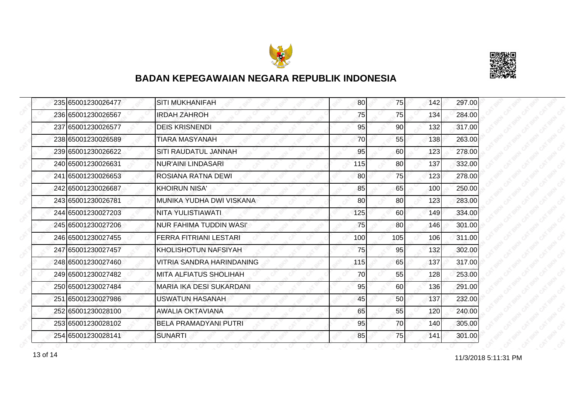



| 235 65001230026477 | <b>SITI MUKHANIFAH</b>         | 80  | 75        | 142 | 297.00 |
|--------------------|--------------------------------|-----|-----------|-----|--------|
| 236 65001230026567 | <b>IRDAH ZAHROH</b>            | 75  | 75        | 134 | 284.00 |
| 237 65001230026577 | <b>DEIS KRISNENDI</b>          | 95  | 90        | 132 | 317.00 |
| 238 65001230026589 | <b>TIARA MASYANAH</b>          | 70  | 55        | 138 | 263.00 |
| 239 65001230026622 | SITI RAUDATUL JANNAH           | 95  | 60        | 123 | 278.00 |
| 240 65001230026631 | NUR'AINI LINDASARI             | 115 | 80        | 137 | 332.00 |
| 241 65001230026653 | ROSIANA RATNA DEWI             | 80  | 75        | 123 | 278.00 |
| 242 65001230026687 | <b>KHOIRUN NISA'</b>           | 85  | 65        | 100 | 250.00 |
| 243 65001230026781 | MUNIKA YUDHA DWI VISKANA       | 80  | 80        | 123 | 283.00 |
| 244 65001230027203 | NITA YULISTIAWATI              | 125 | 60I       | 149 | 334.00 |
| 245 65001230027206 | <b>NUR FAHIMA TUDDIN WASI'</b> | 75  | 80        | 146 | 301.00 |
| 246 65001230027455 | <b>FERRA FITRIANI LESTARI</b>  | 100 | 105       | 106 | 311.00 |
| 247 65001230027457 | KHOLISHOTUN NAFSIYAH           | 75  | 95        | 132 | 302.00 |
| 248 65001230027460 | VITRIA SANDRA HARINDANING      | 115 | 65        | 137 | 317.00 |
| 249 65001230027482 | MITA ALFIATUS SHOLIHAH         | 70  | 55        | 128 | 253.00 |
| 250 65001230027484 | MARIA IKA DESI SUKARDANI       | 95  | 60        | 136 | 291.00 |
| 251 65001230027986 | <b>USWATUN HASANAH</b>         | 45  | 50        | 137 | 232.00 |
| 252165001230028100 | AWALIA OKTAVIANA               | 65  | 55        | 120 | 240.00 |
| 253 65001230028102 | <b>BELA PRAMADYANI PUTRI</b>   | 95  | 70        | 140 | 305.00 |
| 254 65001230028141 | <b>SUNARTI</b>                 | 85  | <b>75</b> | 141 | 301.00 |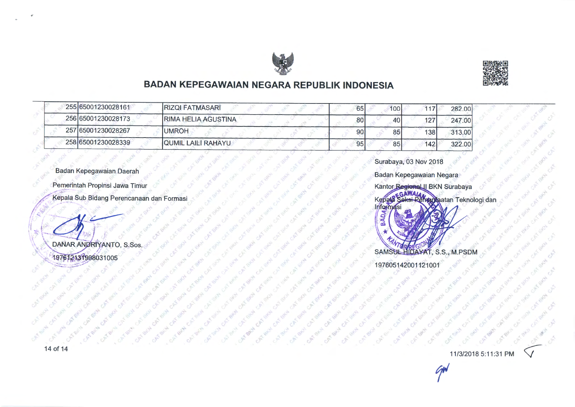



'

#### **BADAN KEPEGAWAIAN NEGARA REPUBLIK INDONESIA**

| 255 65001230028161 | <b>RIZQI FATMASARI</b>    | 65              | 100 | 117  | 282.00 |
|--------------------|---------------------------|-----------------|-----|------|--------|
| 256 65001230028173 | RIMA HELIA AGUSTINA       | 80              | 40  | 127  | 247,00 |
| 257 65001230028267 | <b>IUMROH</b>             | 90 <sub>1</sub> | 85  | 138I | 313,00 |
| 258 65001230028339 | <b>QUMIL LAILI RAHAYU</b> | 95              | 85  | 142  | 322.00 |

...

Badan Kepegawaian Daerah

Pemerintah Propinsi Jawa Timur

Kepala Sub Bidang Perencanaan dan Formasi

DANAR ANDRIVANTO, S.Sos. 197612131998031005

Surabaya, 03 Nov 2018

Badan Kepegawaian Negara



197605142001121001

11/3/2018 5:11:31 PM

 $\widetilde{\mathcal{C}}^{\text{r}}$ 

,,.

i

 $\sqrt{\phantom{a}}$ 

*-#* 



CAN RE

-!.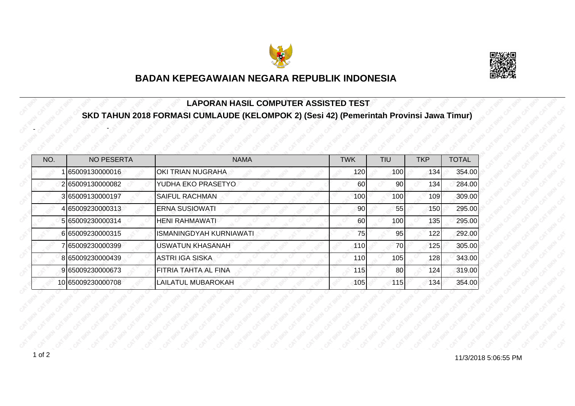



#### **LAPORAN HASIL COMPUTER ASSISTED TEST SKD TAHUN 2018 FORMASI CUMLAUDE (KELOMPOK 2) (Sesi 42) (Pemerintah Provinsi Jawa Timur)**

| NO. | <b>NO PESERTA</b> | <b>NAMA</b>                 | <b>TWK</b> | TIU | <b>TKP</b> | <b>TOTAL</b> |
|-----|-------------------|-----------------------------|------------|-----|------------|--------------|
|     | 65009130000016    | OKI TRIAN NUGRAHA           | 120        | 100 | 134        | 354.00       |
|     | 2 65009130000082  | YUDHA EKO PRASETYO          | 60         | 90  | 134        | 284.00       |
|     | 3 65009130000197  | <b>SAIFUL RACHMAN</b>       | 100        | 100 | 109        | 309.00       |
|     | 4 65009230000313  | <b>ERNA SUSIOWATI</b>       | 90         | 55  | 150        | 295.00       |
|     | 5 65009230000314  | <b>HENI RAHMAWATI</b>       | 60         | 100 | 135        | 295.00       |
|     | 665009230000315   | ISMANINGDYAH KURNIAWATI     | 75         | 95  | 122        | 292.00       |
|     | 7 65009230000399  | <b>USWATUN KHASANAH</b>     | 110        | 70  | 125        | 305.00       |
|     | 8 65009230000439  | ASTRI IGA SISKA             | 110        | 105 | 128        | 343.00       |
|     | 9 65009230000673  | <b>FITRIA TAHTA AL FINA</b> | 115        | 80  | 124        | 319.00       |
|     | 10 65009230000708 | LAILATUL MUBAROKAH          | 105        | 115 | 134        | 354.00       |

-

-